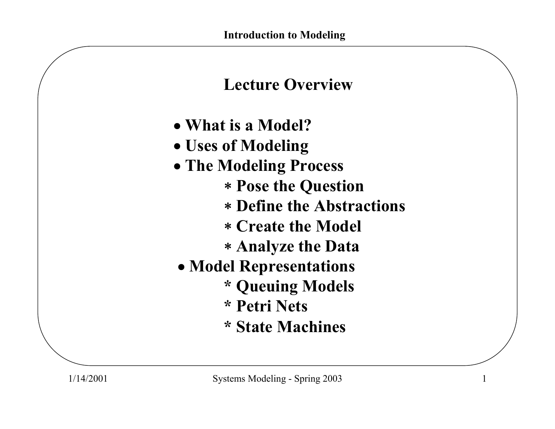

- **What is a Model?**
- **Uses of Modeling**
- **The Modeling Process**
	- <sup>∗</sup>**Pose the Question**
	- ∗ **Define the Abstractions**
	- ∗ **Create the Model**
	- ∗ **Analyze the Data**
- **Model Representations**
	- **\* Queuing Models**
	- **\* Petri Nets**
	- **\* State Machines**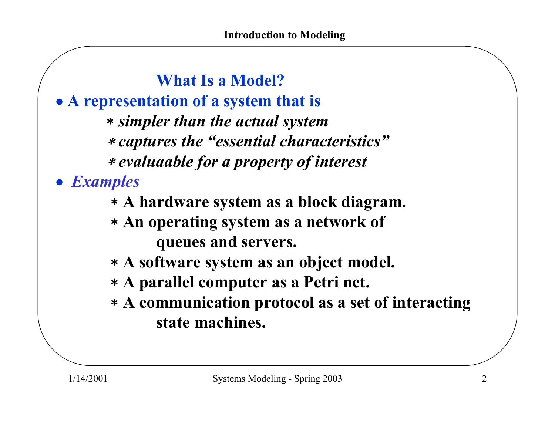**What Is a Model?**• **A representation of a system that is** <sup>∗</sup>*simpler tha n the actual system* <sup>∗</sup>*captures the "essential characteristics"* ∗ *evaluaable for a property of interest* • *Examples*

- <sup>∗</sup>**A hardware system as a block diagram.**
- <sup>∗</sup>**An operating system as a network of queues and servers.**
- <sup>∗</sup>**A software system as an object model.**
- <sup>∗</sup>**A parallel computer as a Petri net.**
- <sup>∗</sup>**A communication protocol as a set of interacting state machines.**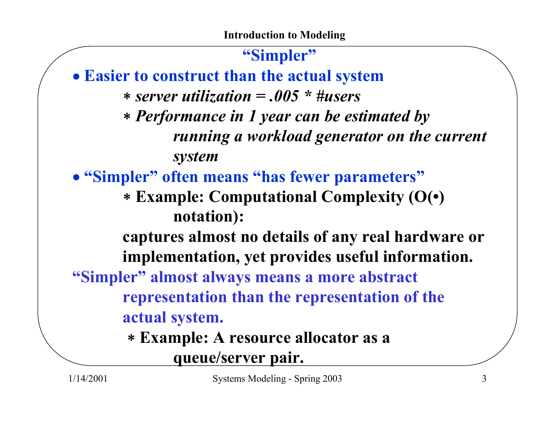**"Simpler"** • **Easier to construct than the actual system** ∗ *server utilization = .005 \* #users* <sup>∗</sup>*Performance in 1 year can be estimated by running a workload generator on the current system* • **"Simpler" often means "has fewer parameters"** <sup>∗</sup>**Example: Computational Complexity (O(•) notation): captures almost no details of any real hardware or implementation, yet provides useful information. "Simpler" almost always means a more abstract representation than the representation of the actual system.** <sup>∗</sup>**Example: A resource allocator as a queue/server pair.**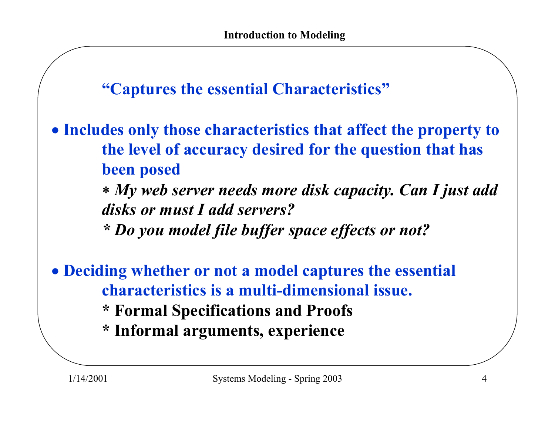**"Captures the essential Characteristics"**

- **Includes only those characteristics that affect the property to the level of accuracy desired for the question that has been posed**
	- <sup>∗</sup>*My web server needs more disk capacity. Can I just add disks or must I add servers?*
	- *\* Do you model file buffer space effects or not?*
- **Deciding whether or not a model captures the essential characteristics is a multi-dimensional issue.**
	- **\* Formal Specifications and Proofs**
	- **\* Informal arguments, experience**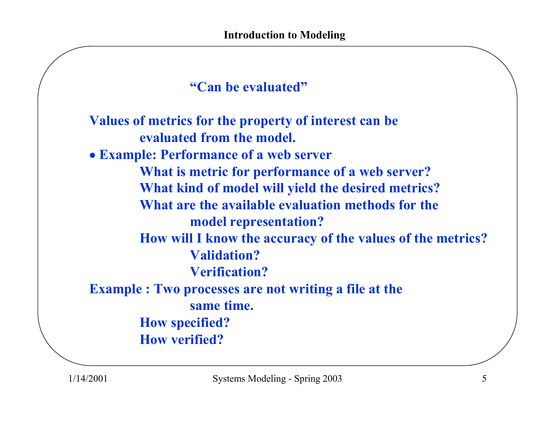```
"Can be evaluated"
```
**Values of metrics for the property of interest can be evaluated from the model.** • **Example: Performance of a web server What is metric for performance of a web server? What kind of model will yield the desired metrics? What are the available evaluation methods for the model representation? How will I know the accuracy of the values of the metrics? Validation?Verification?Example : Two processes are not writing a file at the same time. How specified? How verified?**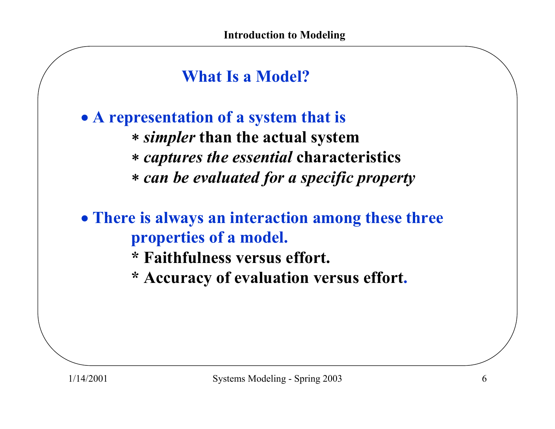# **What Is a Model?**

• **A representation of a system that is** <sup>∗</sup>*simpler* **than the actual system** <sup>∗</sup>*captures the essential* **characteristics** <sup>∗</sup>*can be evaluated for a specific property*

• **There is always an interaction among these three properties of a model.**

- **\*Faithfulness versus effort.**
- **\* Accuracy of evaluation versus effort.**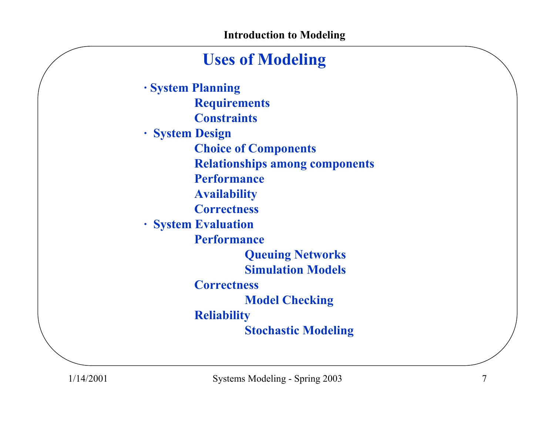## **Uses of Modeling**

**· System Planning Requirements Constraints· System Design Choice of Components Relationships among components Performance Availability Correctness· System Evaluation Performance Queuing Networks Simulation ModelsCorrectnessModel Checking Reliability Stochastic Modeling**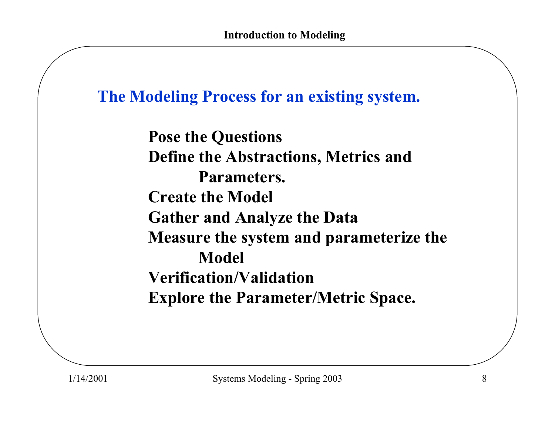## **The Modeling Process for an existing system.**

**Pose the Questions Define the Abstractions, Metrics and Parameters. Create the Model Gather and Analyze the Data Measure the system and parameterize the Model Verification/ValidationExplore the Parameter/Metric Space.**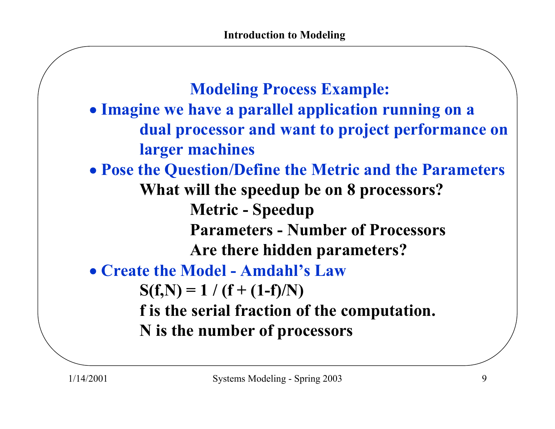**Modeling Process Example:**  • **Imagine we have a parallel application running on a dual processor and want to project performance on larger machines** • **Pose the Question/Define the Metric and the Parameters What will the speedup be on 8 processors? Metric - Speedup Parameters -Number of ProcessorsAre there hidden parameters?** • **Create the Model - Amdahl's Law** $S(f,N) = 1 / (f + (1-f)/N)$ **f is the serial fraction of the computation. N is the number of processors**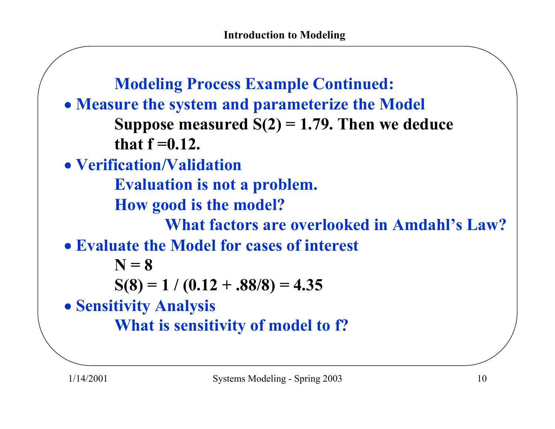**Modeling Process Example Continued:** • **Measure the system and parameterize the Model Suppose measured S(2) = 1.79. Then we deduce that f =0.12.** • **Verification/Validation Evaluation is not a problem. How good is the model? What factors are overlooked in Amdahl's Law?**• **Evaluate the Model for cases of interestN = 8** $S(8) = 1 / (0.12 + .88/8) = 4.35$ • **Sensitivity Analysis What is sensitivity of model to f?**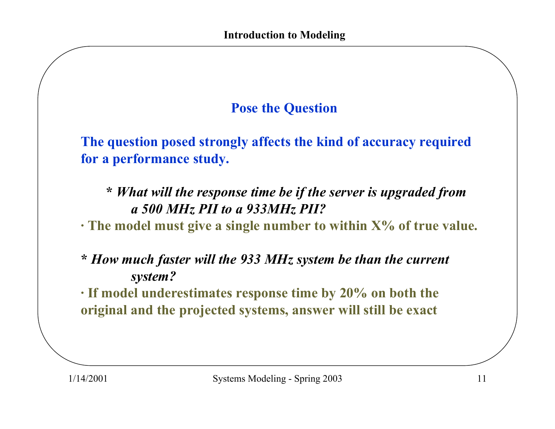#### **Pose the Question**

**The question posed strongly affects the kind of accuracy required for a performance study.**

**\*** *What will the response time be if the server is upgraded from a 500 MHz PII to a 933MHz PII?*

**· The model must give a single number to within X% of true value.**

**\*** *How much faster will the 933 MHz system be than the current system?*

**· If model underestimates response time by 20% on both the original and the pro jected systems, answer will still be exact**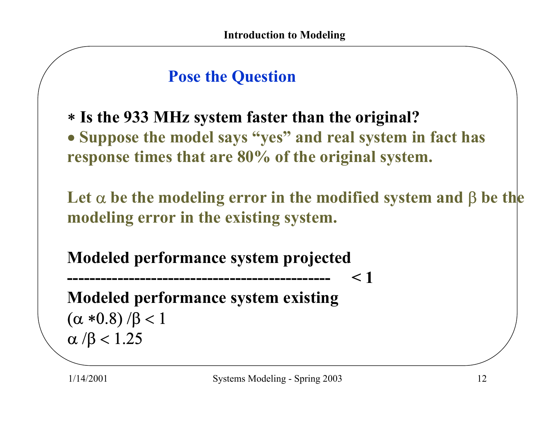# **Pose the Question**

<sup>∗</sup>**Is the 933 MHz system faster than the original?** • **Suppose the model says "yes" and real system in fact has response times that are 80% of the original system.** 

**Let** α **be the modeling error in the modified system and** β **be the modeling error in the existing system.**

**< 1**

**Modeled performance system projected**

**-----------------------------------------------**

**Modeled performance system existing** ( $\alpha$  \*0.8) /β < 1 α /β < 1.25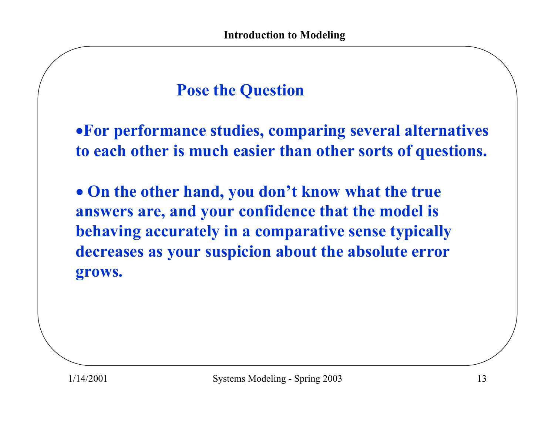# **Pose the Question**

•**For performance studies, comparing several alternatives to each other is much easier than other sorts of questions.**

• **On the other hand, you don't know what the true answers are, and your confidence that the model is behaving accurately in a comparative sense typically decreases as your suspicion about the absolute error grows.**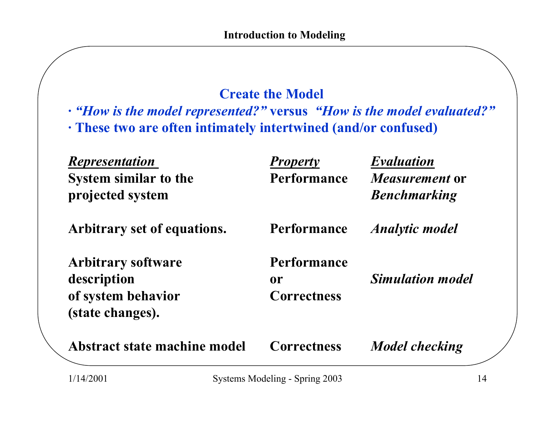#### **Create the Model**

- **·** *"How is the model represented?"* **versus** *"How is the model evaluated?"*
- **· These two are often intimately intertwined (and/or confused)**

| <b>Representation</b>        | <b>Property</b>    | <b>Evaluation</b>       |
|------------------------------|--------------------|-------------------------|
| <b>System similar to the</b> | <b>Performance</b> | <i>Measurement</i> or   |
| projected system             |                    | <b>Benchmarking</b>     |
| Arbitrary set of equations.  | <b>Performance</b> | <b>Analytic model</b>   |
| <b>Arbitrary software</b>    | <b>Performance</b> |                         |
| description                  | <b>or</b>          | <b>Simulation model</b> |
| of system behavior           | <b>Correctness</b> |                         |
| (state changes).             |                    |                         |
| Abstract state machine model | <b>Correctness</b> | <b>Model checking</b>   |
|                              |                    |                         |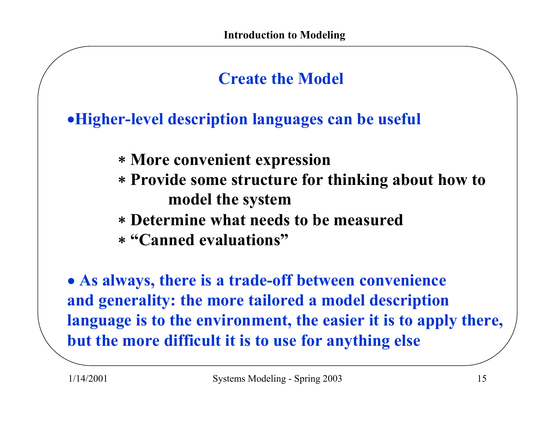# **Create the Model**

•**Higher-level description languages can be useful**

- <sup>∗</sup>**More convenient expression**
- <sup>∗</sup>**Provide some structure for thinking about how to model the system**
- ∗ **Determine what needs to be measured**
- ∗ **"Canned evaluations"**

• **As always, there is a trade-off between convenience and generality: the more tailored a model description language is to the environment, the easier it is to apply there, but the more difficult it is to use for anything else**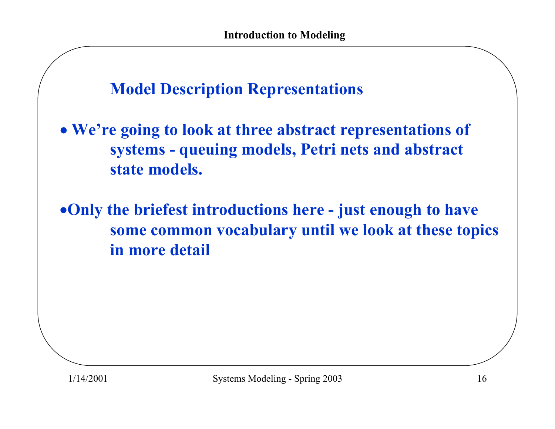**Model Description Representations**

• **We're going to look at three abstract representations of systems - queuing models, Petri nets and abstract state models.**

•**Only the briefest introductions here - just enough to have some common vocabulary until we look at these topics in more detail**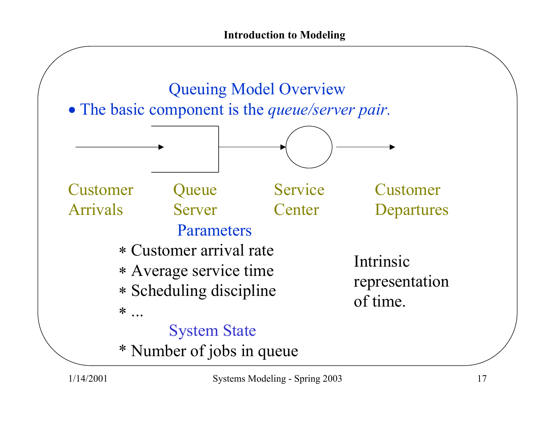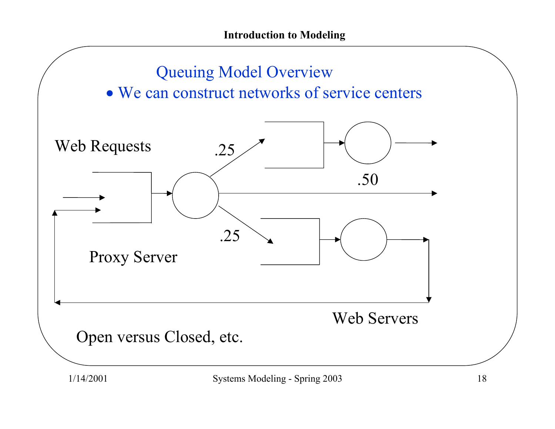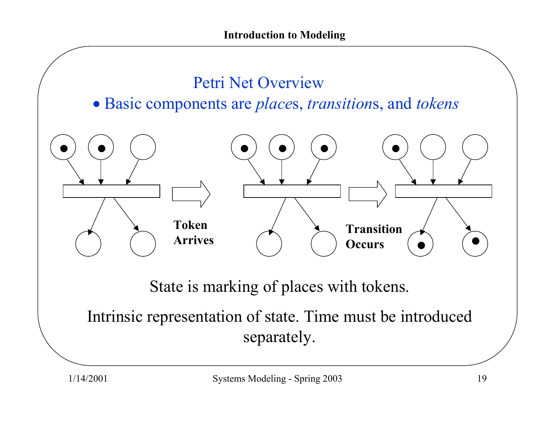

separately.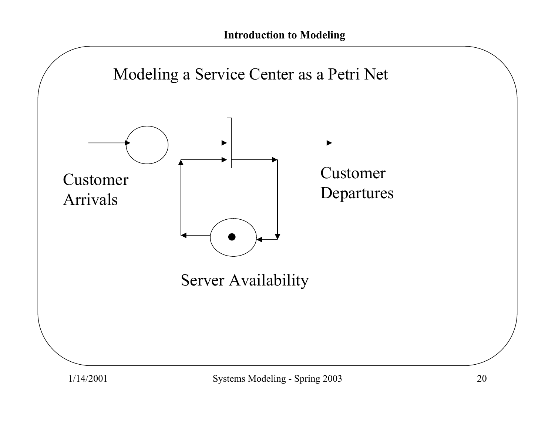

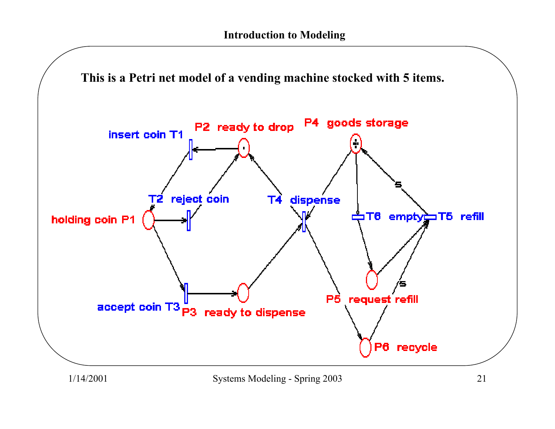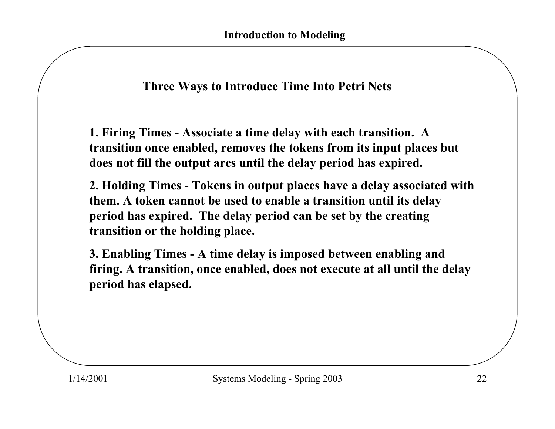#### **Three Ways to Introduce Time Into Petri Nets**

**1. Firing Times - Associate a time delay with each transition. A transition once enabled, removes the tokens from its input places but does not fill the output arcs until the delay period has expired.**

**2. Holding Times - Tokens in output places have a delay associated with them. A token cannot be used to enable a transition until its delay period has expired. The delay period can be set by the creating transition or the holding place.**

**3. Enabling Times - A time delay is imposed between enabling and firing. A transition, once enabled, does not execute at all until the delay period has elapsed.**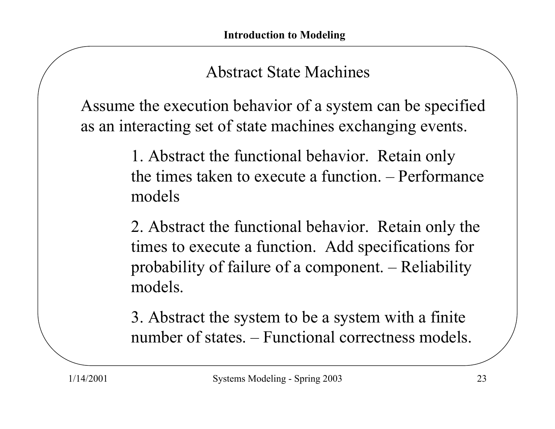## Abstract State Machines

Assume the execution behavior of a system can be specified as an interacting set of state machines exchanging events.

> 1. Abstract the functional behavior. Retain only the times taken to execute a function. – Performance models

2. Abstract the functional behavior. Retain only the times to execute a function. Add specifications for probability of failure of a component. – Reliability models.

3. Abstract the system to be a system with a finite number of states. – Functional correctness models.